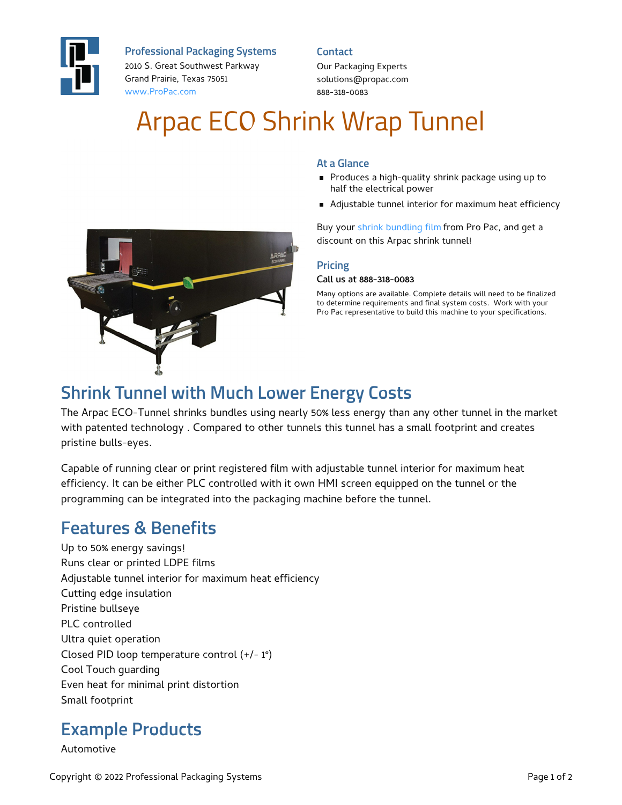

**Professional Packaging Systems**

2010 S. Great Southwest Parkway Grand Prairie, Texas 75051 [www.ProPac.com](https://www.propac.com/)

**Contact**

Our Packaging Experts solutions@propac.com 888-318-0083

# Arpac ECO Shrink Wrap Tunnel



**At a Glance**

Adjustable tunnel interior for maximum heat efficiency

Buy your shrink [bundling](file:///custom-materials/shrink-bundling-film/) film from Pro Pac, and get a discount on this Arpac shrink tunnel!

#### **Pricing**

#### Call us at 888-318-0083

Many options are available. Complete details will need to be finalized to determine requirements and final system costs. Work with your Pro Pac representative to build this machine to your specifications.



## **Shrink Tunnel with Much Lower Energy Costs**

The Arpac ECO-Tunnel shrinks bundles using nearly 50% less energy than any other tunnel in the market with patented technology . Compared to other tunnels this tunnel has a small footprint and creates pristine bulls-eyes.

Capable of running clear or print registered film with adjustable tunnel interior for maximum heat efficiency. It can be either PLC controlled with it own HMI screen equipped on the tunnel or the programming can be integrated into the packaging machine before the tunnel.

## **Features & Benefits**

Up to 50% energy savings! Runs clear or printed LDPE films Adjustable tunnel interior for maximum heat efficiency Cutting edge insulation Pristine bullseye PLC controlled Ultra quiet operation Closed PID loop temperature control (+/- 1°) Cool Touch guarding Even heat for minimal print distortion Small footprint

## **Example Products**

Automotive